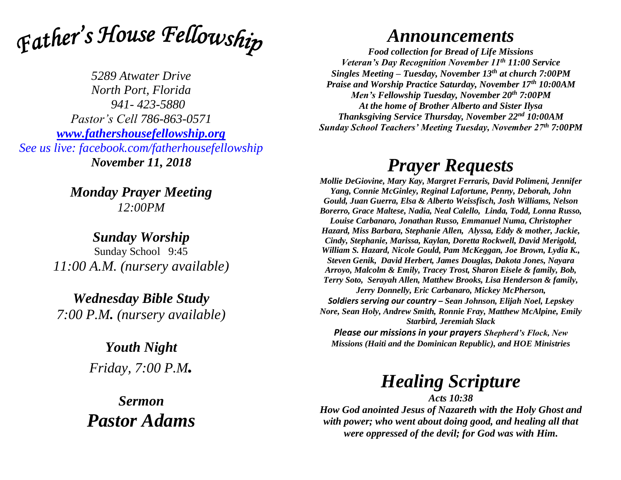

*5289 Atwater Drive North Port, Florida 941- 423-5880 Pastor's Cell 786-863-0571 [www.fathershousefellowship.org](http://www.fathershousefellowship.org/) See us live: facebook.com/fatherhousefellowship November 11, 2018*

> *Monday Prayer Meeting 12:00PM*

*Sunday Worship* Sunday School 9:45 *11:00 A.M. (nursery available)*

*Wednesday Bible Study 7:00 P.M. (nursery available)*

> *Youth Night Friday, 7:00 P.M.*

*Sermon Pastor Adams*

## *Announcements*

*Food collection for Bread of Life Missions Veteran's Day Recognition November 11th 11:00 Service Singles Meeting – Tuesday, November 13th at church 7:00PM Praise and Worship Practice Saturday, November 17th 10:00AM Men's Fellowship Tuesday, November 20th 7:00PM At the home of Brother Alberto and Sister Ilysa Thanksgiving Service Thursday, November 22nd 10:00AM Sunday School Teachers' Meeting Tuesday, November 27th 7:00PM*

## *Prayer Requests*

*Mollie DeGiovine, Mary Kay, Margret Ferraris, David Polimeni, Jennifer Yang, Connie McGinley, Reginal Lafortune, Penny, Deborah, John Gould, Juan Guerra, Elsa & Alberto Weissfisch, Josh Williams, Nelson Borerro, Grace Maltese, Nadia, Neal Calello, Linda, Todd, Lonna Russo, Louise Carbanaro, Jonathan Russo, Emmanuel Numa, Christopher Hazard, Miss Barbara, Stephanie Allen, Alyssa, Eddy & mother, Jackie, Cindy, Stephanie, Marissa, Kaylan, Doretta Rockwell, David Merigold, William S. Hazard, Nicole Gould, Pam McKeggan, Joe Brown, Lydia K., Steven Genik, David Herbert, James Douglas, Dakota Jones, Nayara Arroyo, Malcolm & Emily, Tracey Trost, Sharon Eisele & family, Bob, Terry Soto, Serayah Allen, Matthew Brooks, Lisa Henderson & family, Jerry Donnelly, Eric Carbanaro, Mickey McPherson, Soldiers serving our country – Sean Johnson, Elijah Noel, Lepskey Nore, Sean Holy, Andrew Smith, Ronnie Fray, Matthew McAlpine, Emily Starbird, Jeremiah Slack Please our missions in your prayers Shepherd's Flock, New* 

*Missions (Haiti and the Dominican Republic), and HOE Ministries*

## *Healing Scripture*

*Acts 10:38 How God anointed Jesus of Nazareth with the Holy Ghost and with power; who went about doing good, and healing all that were oppressed of the devil; for God was with Him.*